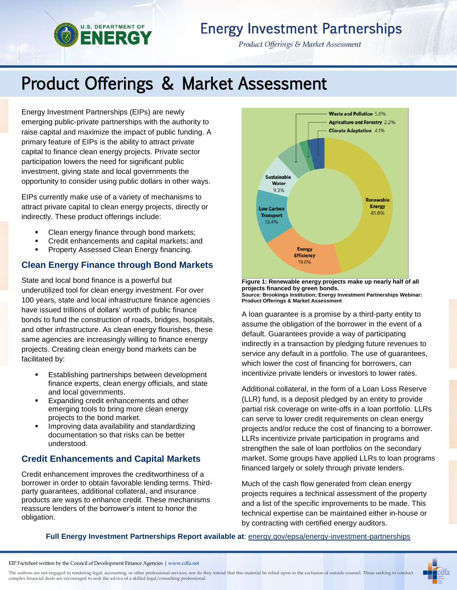# **Energy Investment Partnerships**

Product Offerings & Market Assessment

# Product Offerings & Market Assessment

Energy Investment Partnerships (EIPs) are newly emerging public-private partnerships with the authority to raise capital and maximize the impact of public funding. A primary feature of EIPs is the ability to attract private capital to finance clean energy projects. Private sector participation lowers the need for significant public investment, giving state and local governments the opportunity to consider using public dollars in other ways.

**U.S. DEPARTMENT OF NERGY** 

EIPs currently make use of a variety of mechanisms to attract private capital to clean energy projects, directly or indirectly. These product offerings include:

- Clean energy finance through bond markets;
- Credit enhancements and capital markets; and
- Property Assessed Clean Energy financing.

# **Clean Energy Finance through Bond Markets**

State and local bond finance is a powerful but underutilized tool for clean energy investment. For over 100 years, state and local infrastructure finance agencies have issued trillions of dollars' worth of public finance bonds to fund the construction of roads, bridges, hospitals, and other infrastructure. As clean energy flourishes, these same agencies are increasingly willing to finance energy projects. Creating clean energy bond markets can be facilitated by:

- **Establishing partnerships between development** finance experts, clean energy officials, and state and local governments.
- **Expanding credit enhancements and other** emerging tools to bring more clean energy projects to the bond market.
- **IMPROVING data availability and standardizing** documentation so that risks can be better understood.

# **Credit Enhancements and Capital Markets**

Credit enhancement improves the creditworthiness of a borrower in order to obtain favorable lending terms. Thirdparty guarantees, additional collateral, and insurance products are ways to enhance credit. These mechanisms reassure lenders of the borrower's intent to honor the obligation.



**Figure 1: Renewable energy projects make up nearly half of all projects financed by green bonds. Source: Brookings Institution; Energy Investment Partnerships Webinar: Product Offerings & Market Assessment**

A loan guarantee is a promise by a third-party entity to assume the obligation of the borrower in the event of a default. Guarantees provide a way of participating indirectly in a transaction by pledging future revenues to service any default in a portfolio. The use of guarantees, which lower the cost of financing for borrowers, can incentivize private lenders or investors to lower rates.

Additional collateral, in the form of a Loan Loss Reserve (LLR) fund, is a deposit pledged by an entity to provide partial risk coverage on write-offs in a loan portfolio. LLRs can serve to lower credit requirements on clean energy projects and/or reduce the cost of financing to a borrower. LLRs incentivize private participation in programs and strengthen the sale of loan portfolios on the secondary market. Some groups have applied LLRs to loan programs financed largely or solely through private lenders.

Much of the cash flow generated from clean energy projects requires a technical assessment of the property and a list of the specific improvements to be made. This technical expertise can be maintained either in-house or by contracting with certified energy auditors.

#### **Full Energy Investment Partnerships Report available at**: [energy.gov/epsa/energy-investment-partnerships](http://energy.gov/epsa/energy-investment-partnerships)

EIP Factsheet written by the Council of Development Finance Agencies | [www.cdfa.net](http://www.cdfa.net/)

The authors are not engaged in rendering legal, accounting, or other professional services, nor do they intend that this material be relied upon to the exclusion of outside counsel. Those seeking to conduct complex financial deals are encouraged to seek the advice of a skilled legal/consulting professional.